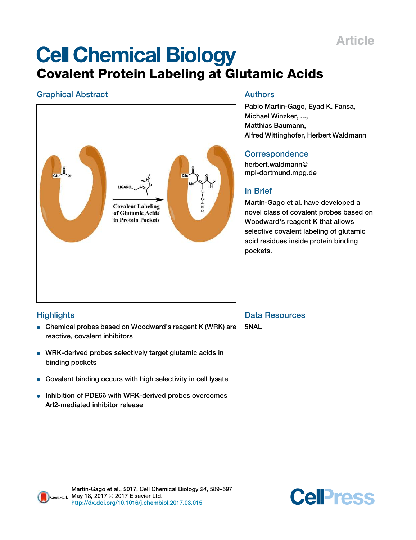## Article

# **Cell Chemical Biology** Covalent Protein Labeling at Glutamic Acids

## Graphical Abstract



## Authors

Pablo Martín-Gago, Eyad K. Fansa, Michael Winzker, ..., Matthias Baumann, Alfred Wittinghofer, Herbert Waldmann

## **Correspondence**

herbert.waldmann@ mpi-dortmund.mpg.de

## In Brief

Martín-Gago et al. have developed a novel class of covalent probes based on Woodward's reagent K that allows selective covalent labeling of glutamic acid residues inside protein binding pockets.

## **Highlights**

- Chemical probes based on Woodward's reagent K (WRK) are reactive, covalent inhibitors
- WRK-derived probes selectively target glutamic acids in binding pockets
- Covalent binding occurs with high selectivity in cell lysate
- $\bullet$  Inhibition of PDE6 $\delta$  with WRK-derived probes overcomes Arl2-mediated inhibitor release

Data Resources

5NAL



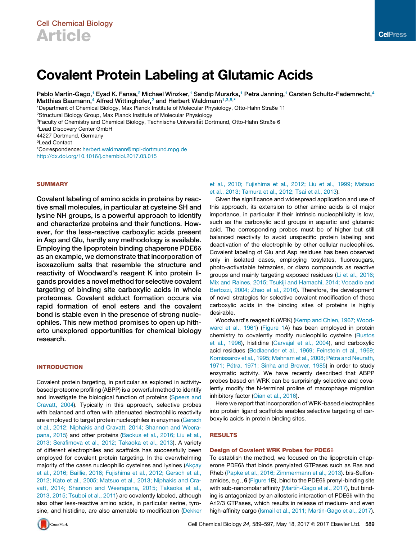## Covalent Protein Labeling at Glutamic Acids

Pablo Martín-Gago,<sup>1</sup> Eyad K. Fansa,<sup>2</sup> Michael Winzker,<sup>1</sup> Sandip Murarka,<sup>1</sup> Petra Janning,<sup>1</sup> Carsten Schultz-Fademrecht,<sup>4</sup> Matthias Baumann,<sup>4</sup> Alfred Wittinghofer,<sup>2</sup> and Herbert Waldmann<sup>1,3,5,\*</sup>

<sup>1</sup>Department of Chemical Biology, Max Planck Institute of Molecular Physiology, Otto-Hahn Straße 11

<sup>2</sup>Structural Biology Group, Max Planck Institute of Molecular Physiology

3Faculty of Chemistry and Chemical Biology, Technische Universität Dortmund, Otto-Hahn Straße 6

44227 Dortmund, Germany

<sup>5</sup>Lead Contact

\*Correspondence: herbert.waldmann@mpi-dortmund.mpg.de http://dx.doi.org/10.1016/j.chembiol.2017.03.015

## **SUMMARY**

Covalent labeling of amino acids in proteins by reactive small molecules, in particular at cysteine SH and lysine NH groups, is a powerful approach to identify and characterize proteins and their functions. However, for the less-reactive carboxylic acids present in Asp and Glu, hardly any methodology is available. Employing the lipoprotein binding chaperone PDE6 $\delta$ as an example, we demonstrate that incorporation of isoxazolium salts that resemble the structure and reactivity of Woodward's reagent K into protein ligands provides a novel method for selective covalent targeting of binding site carboxylic acids in whole proteomes. Covalent adduct formation occurs via rapid formation of enol esters and the covalent bond is stable even in the presence of strong nucleophiles. This new method promises to open up hitherto unexplored opportunities for chemical biology research.

## INTRODUCTION

Covalent protein targeting, in particular as explored in activitybased proteome profiling (ABPP) is a powerful method to identify and investigate the biological function of proteins (Speers and Cravatt, 2004). Typically in this approach, selective probes with balanced and often with attenuated electrophilic reactivity are employed to target protein nucleophiles in enzymes (Gersch et al., 2012; Niphakis and Cravatt, 2014; Shannon and Weerapana, 2015) and other proteins (Backus et al., 2016; Liu et al., 2013; Serafimova et al., 2012; Takaoka et al., 2013). A variety of different electrophiles and scaffolds has successfully been employed for covalent protein targeting. In the overwhelming majority of the cases nucleophilic cysteines and lysines (Akçay et al., 2016; Baillie, 2016; Fujishima et al., 2012; Gersch et al., 2012; Kato et al., 2005; Matsuo et al., 2013; Niphakis and Cravatt, 2014; Shannon and Weerapana, 2015; Takaoka et al., 2013, 2015; Tsuboi et al., 2011) are covalently labeled, although also other less-reactive amino acids, in particular serine, tyrosine, and histidine, are also amenable to modification (Dekker



## et al., 2010; Fujishima et al., 2012; Liu et al., 1999; Matsuo et al., 2013; Tamura et al., 2012; Tsai et al., 2013).

Given the significance and widespread application and use of this approach, its extension to other amino acids is of major importance, in particular if their intrinsic nucleophilicity is low, such as the carboxylic acid groups in aspartic and glutamic acid. The corresponding probes must be of higher but still balanced reactivity to avoid unspecific protein labeling and deactivation of the electrophile by other cellular nucleophiles. Covalent labeling of Glu and Asp residues has been observed only in isolated cases, employing tosylates, fluorosugars, photo-activatable tetrazoles, or diazo compounds as reactive groups and mainly targeting exposed residues (Li et al., 2016; Mix and Raines, 2015; Tsukiji and Hamachi, 2014; Vocadlo and Bertozzi, 2004; Zhao et al., 2016). Therefore, the development of novel strategies for selective covalent modification of these carboxylic acids in the binding sites of proteins is highly desirable.

Woodward's reagent K (WRK) (Kemp and Chien, 1967; Woodward et al., 1961) (Figure 1A) has been employed in protein chemistry to covalently modify nucleophilic cysteine (Bustos et al., 1996), histidine (Carvajal et al., 2004), and carboxylic acid residues (Bodlaender et al., 1969; Feinstein et al., 1969; Komissarov et al., 1995; Mahnam et al., 2008; Pétra and Neurath, 1971; Pétra, 1971; Sinha and Brewer, 1985) in order to study enzymatic activity. We have recently described that ABPP probes based on WRK can be surprisingly selective and covalently modify the N-terminal proline of macrophage migration inhibitory factor (Qian et al., 2016).

Here we report that incorporation of WRK-based electrophiles into protein ligand scaffolds enables selective targeting of carboxylic acids in protein binding sites.

## RESULTS

## Design of Covalent WRK Probes for PDE6 $\delta$

To establish the method, we focused on the lipoprotein chaperone PDE6 $\delta$  that binds prenylated GTPases such as Ras and Rheb (Papke et al., 2016; Zimmermann et al., 2013). bis-Sulfonamides, e.g., 6 (Figure 1B), bind to the PDE6 $\delta$  prenyl-binding site with sub-nanomolar affinity (Martín-Gago et al., 2017), but binding is antagonized by an allosteric interaction of PDE6 $\delta$  with the Arl2/3 GTPases, which results in release of medium- and even high-affinity cargo (Ismail et al., 2011; Martín-Gago et al., 2017).

<sup>4</sup>Lead Discovery Center GmbH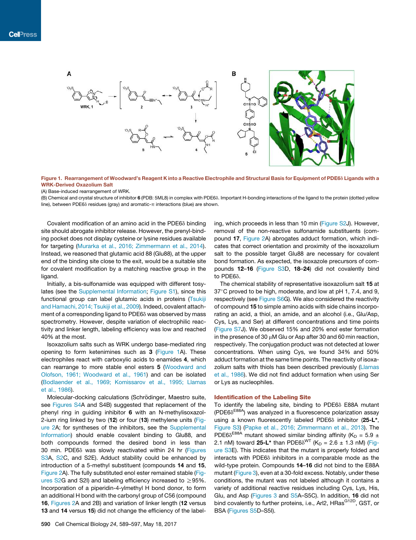

Figure 1. Rearrangement of Woodward's Reagent K into a Reactive Electrophile and Structural Basis for Equipment of PDE6 $\delta$  Ligands with a WRK-Derived Oxazolium Salt

(A) Base-induced rearrangement of WRK.

(B) Chemical and crystal structure of inhibitor 6 (PDB: 5ML8) in complex with PDE68. Important H-bonding interactions of the ligand to the protein (dotted yellow line), between PDE6 $\delta$  residues (gray) and aromatic- $\pi$  interactions (blue) are shown.

Covalent modification of an amino acid in the PDE6 $\delta$  binding site should abrogate inhibitor release. However, the prenyl-binding pocket does not display cysteine or lysine residues available for targeting (Murarka et al., 2016; Zimmermann et al., 2014). Instead, we reasoned that glutamic acid 88 (Glu88), at the upper end of the binding site close to the exit, would be a suitable site for covalent modification by a matching reactive group in the ligand.

Initially, a bis-sulfonamide was equipped with different tosylates (see the Supplemental Information; Figure S1), since this functional group can label glutamic acids in proteins (Tsukiji and Hamachi, 2014; Tsukiji et al., 2009). Indeed, covalent attachment of a corresponding ligand to PDE6 $\delta$  was observed by mass spectrometry. However, despite variation of electrophilic reactivity and linker length, labeling efficiency was low and reached 40% at the most.

Isoxazolium salts such as WRK undergo base-mediated ring opening to form ketenimines such as 3 (Figure 1A). These electrophiles react with carboxylic acids to enamides 4, which can rearrange to more stable enol esters 5 (Woodward and Olofson, 1961; Woodward et al., 1961) and can be isolated (Bodlaender et al., 1969; Komissarov et al., 1995; Llamas et al., 1986).

Molecular-docking calculations (Schrödinger, Maestro suite, see Figures S4A and S4B) suggested that replacement of the phenyl ring in guiding inhibitor 6 with an N-methylisoxazol-2-ium ring linked by two (12) or four (13) methylene units (Figure 2A; for syntheses of the inhibitors, see the Supplemental Information) should enable covalent binding to Glu88, and both compounds formed the desired bond in less than 30 min. PDE6 $\delta$  was slowly reactivated within 24 hr (Figures S3A, S2C, and S2E). Adduct stability could be enhanced by introduction of a 5-methyl substituent (compounds 14 and 15, Figure 2A). The fully substituted enol ester remained stable (Figures S2G and S2I) and labeling efficiency increased to  $\geq$ 95%. Incorporation of a piperidin-4-ylmethyl H bond donor, to form an additional H bond with the carbonyl group of C56 (compound 16, Figures 2A and 2B) and variation of linker length (12 versus 13 and 14 versus 15) did not change the efficiency of the label-

ing, which proceeds in less than 10 min (Figure S2J). However, removal of the non-reactive sulfonamide substituents (compound 17, Figure 2A) abrogates adduct formation, which indicates that correct orientation and proximity of the isoxazolium salt to the possible target Glu88 are necessary for covalent bond formation. As expected, the isoxazole precursors of compounds 12–16 (Figure S3D, 18–24) did not covalently bind to PDE6δ.

The chemical stability of representative isoxazolium salt 15 at  $37^{\circ}$ C proved to be high, moderate, and low at pH 1, 7.4, and 9, respectively (see Figure S6G). We also considered the reactivity of compound 15 to simple amino acids with side chains incorporating an acid, a thiol, an amide, and an alcohol (i.e., Glu/Asp, Cys, Lys, and Ser) at different concentrations and time points (Figure S7J). We observed 15% and 20% enol ester formation in the presence of 30  $\mu$ M Glu or Asp after 30 and 60 min reaction, respectively. The conjugation product was not detected at lower concentrations. When using Cys, we found 34% and 50% adduct formation at the same time points. The reactivity of isoxazolium salts with thiols has been described previously (Llamas et al., 1986). We did not find adduct formation when using Ser or Lys as nucleophiles.

### Identification of the Labeling Site

To identify the labeling site, binding to PDE6 $\delta$  E88A mutant (PDE6 $\delta^{E88A}$ ) was analyzed in a fluorescence polarization assay using a known fluorescently labeled PDE6 $\delta$  inhibitor (25-L<sup>\*</sup>, Figure S3) (Papke et al., 2016; Zimmermann et al., 2013). The PDE6 $\delta^{E88A}$  mutant showed similar binding affinity (K<sub>D</sub> = 5.9 ± 2.1 nM) toward 25-L\* than PDE6 $\delta^{\text{WT}}$  (K<sub>D</sub> = 2.6  $\pm$  1.3 nM) (Figure S3E). This indicates that the mutant is properly folded and interacts with PDE6 $\delta$  inhibitors in a comparable mode as the wild-type protein. Compounds 14–16 did not bind to the E88A mutant (Figure 3), even at a 30-fold excess. Notably, under these conditions, the mutant was not labeled although it contains a variety of additional reactive residues including Cys, Lys, His, Glu, and Asp (Figures 3 and S5A–S5C). In addition, 16 did not bind covalently to further proteins, i.e., Arl2, HRas<sup>G12D</sup>, GST, or BSA (Figures S5D–S5I).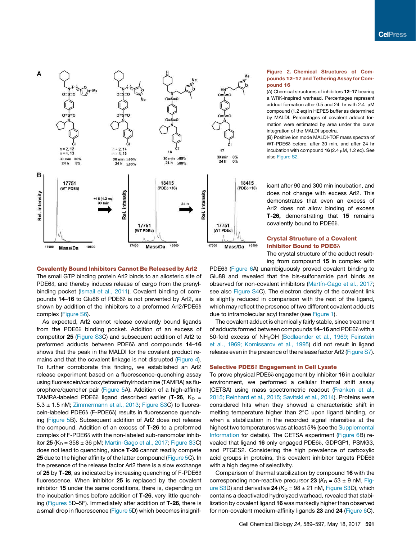

Covalently Bound Inhibitors Cannot Be Released by Arl2 The small GTP binding protein Arl2 binds to an allosteric site of PDE6 $\delta$ , and thereby induces release of cargo from the prenylbinding pocket (Ismail et al., 2011). Covalent binding of compounds  $14-16$  to Glu88 of PDE6 $\delta$  is not prevented by Arl2, as shown by addition of the inhibitors to a preformed Arl2/PDE6 $\delta$ complex (Figure S6).

As expected, Arl2 cannot release covalently bound ligands from the PDE6 $\delta$  binding pocket. Addition of an excess of competitor 25 (Figure S3C) and subsequent addition of Arl2 to preformed adducts between PDE6 $\delta$  and compounds 14-16 shows that the peak in the MALDI for the covalent product remains and that the covalent linkage is not disrupted (Figure 4). To further corroborate this finding, we established an Arl2 release experiment based on a fluorescence-quenching assay using fluorescein/carboxytetramethylrhodamine (TAMRA) as fluorophore/quencher pair (Figure 5A). Addition of a high-affinity TAMRA-labeled PDE6 $\delta$  ligand described earlier (T-26, K<sub>D</sub> =  $5.3 \pm 1.5$  nM; Zimmermann et al., 2013; Figure S3C) to fluorescein-labeled PDE6 $\delta$  (F-PDE6 $\delta$ ) results in fluorescence quenching (Figure 5B). Subsequent addition of Arl2 does not release the compound. Addition of an excess of T-26 to a preformed complex of F-PDE6 $\delta$  with the non-labeled sub-nanomolar inhibitor  $25$  (K<sub>D</sub> = 358  $\pm$  36 pM; Martín-Gago et al., 2017; Figure S3C) does not lead to quenching, since T-26 cannot readily compete 25 due to the higher affinity of the latter compound (Figure 5C). In the presence of the release factor Arl2 there is a slow exchange of 25 by T-26, as indicated by increasing quenching of  $F-PDE6\delta$ fluorescence. When inhibitor 25 is replaced by the covalent inhibitor 15 under the same conditions, there is, depending on the incubation times before addition of T-26, very little quenching (Figures 5D–5F). Immediately after addition of T-26, there is a small drop in fluorescence (Figure 5D) which becomes insignif-

## Figure 2. Chemical Structures of Compounds 12–17 and Tethering Assay for Compound 16

(A) Chemical structures of inhibitors 12–17 bearing a WRK-inspired warhead. Percentages represent adduct formation after 0.5 and 24 hr with 2.4  $\mu$ M compound (1.2 eq) in HEPES buffer as determined by MALDI. Percentages of covalent adduct formation were estimated by area under the curve integration of the MALDI spectra.

(B) Positive ion mode MALDI-TOF mass spectra of WT-PDE6 $\delta$  before, after 30 min, and after 24 hr incubation with compound  $16$  (2.4  $\mu$ M, 1.2 eq). See also Figure S2.

icant after 90 and 300 min incubation, and does not change with excess Arl2. This demonstrates that even an excess of Arl2 does not allow binding of excess T-26, demonstrating that 15 remains covalently bound to PDE6 $\delta$ .

## Crystal Structure of a Covalent Inhibitor Bound to PDE6 $\delta$

The crystal structure of the adduct result-

ing from compound 15 in complex with PDE6 $\delta$  (Figure 6A) unambiguously proved covalent binding to Glu88 and revealed that the bis-sulfonamide part binds as observed for non-covalent inhibitors (Martín-Gago et al., 2017; see also Figure S4C). The electron density of the covalent link is slightly reduced in comparison with the rest of the ligand, which may reflect the presence of two different covalent adducts due to intramolecular acyl transfer (see Figure 1).

The covalent adduct is chemically fairly stable, since treatment of adducts formed between compounds  $14-16$  and PDE6 $\delta$  with a 50-fold excess of NH<sub>2</sub>OH (Bodlaender et al., 1969; Feinstein et al., 1969; Komissarov et al., 1995) did not result in ligand release even in the presence of the release factor Arl2 (Figure S7).

## Selective PDE6 $\delta$  Engagement in Cell Lysate

To prove physical PDE6 $\delta$  engagement by inhibitor 16 in a cellular environment, we performed a cellular thermal shift assay (CETSA) using mass spectrometric readout (Franken et al., 2015; Reinhard et al., 2015; Savitski et al., 2014). Proteins were considered hits when they showed a characteristic shift in melting temperature higher than  $2^{\circ}$ C upon ligand binding, or when a stabilization in the recorded signal intensities at the highest two temperatures was at least 5% (see the Supplemental Information for details). The CETSA experiment (Figure 6B) revealed that ligand 16 only engaged PDE6 $\delta$ , GDPGP1, PSMG3, and PTGES2. Considering the high prevalence of carboxylic acid groups in proteins, this covalent inhibitor targets  $PDE6\delta$ with a high degree of selectivity.

Comparison of thermal stabilization by compound 16 with the corresponding non-reactive precursor **23** ( $K<sub>D</sub>$  = 53  $\pm$  9 nM, Figure S3D) and derivative  $24 (K_D = 98 \pm 21 \text{ nM}, \text{Figure S3D}),$  which contains a deactivated hydrolyzed warhead, revealed that stabilization by covalent ligand 16 was markedly higher than observed for non-covalent medium-affinity ligands 23 and 24 (Figure 6C).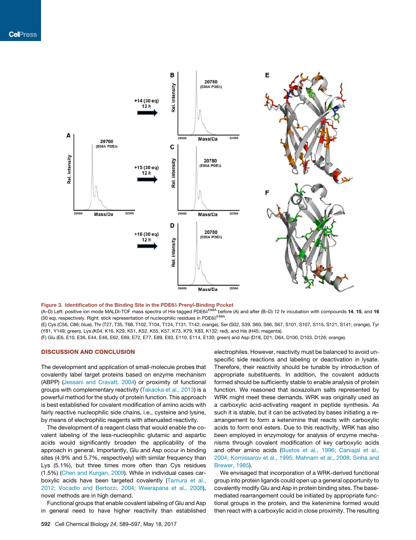

## Figure 3. Identification of the Binding Site in the PDE68 Prenyl-Binding Pocket

(A–D) Left: positive ion mode MALDI-TOF mass spectra of His-tagged PDE6∂<sup>E88A</sup> before (A) and after (B–D) 12 hr incubation with compounds **14, 15**, and **16** (30 eq), respectively. Right: stick representation of nucleophilic residues in PDE6<sup>8E88A</sup>.

(E) Cys (C56, C86; blue), Thr (T27, T35, T68, T102, T104, T124, T131, T142; orange), Ser (S02, S39, S60, S66, S67, S101, S107, S115, S121, S141; orange), Tyr (Y81, Y149; green), Lys (K04, K16, K29, K51, K52, K55, K57, K73, K79, K83, K132; red), and His (H45; magenta).

(F) Glu (E6, E10, E36, E44, E46, E62, E69, E72, E77, E89, E93, E110, E114, E130; green) and Asp (D18, D21, D64, D100, D103, D126; orange).

## DISCUSSION AND CONCLUSION

The development and application of small-molecule probes that covalently label target proteins based on enzyme mechanism (ABPP) (Jessani and Cravatt, 2004) or proximity of functional groups with complementary reactivity (Takaoka et al., 2013) is a powerful method for the study of protein function. This approach is best established for covalent modification of amino acids with fairly reactive nucleophilic side chains, i.e., cysteine and lysine, by means of electrophilic reagents with attenuated reactivity.

The development of a reagent class that would enable the covalent labeling of the less-nucleophilic glutamic and aspartic acids would significantly broaden the applicability of the approach in general. Importantly, Glu and Asp occur in binding sites (4.9% and 5.7%, respectively) with similar frequency than Lys (5.1%), but three times more often than Cys residues (1.5%) (Chen and Kurgan, 2009). While in individual cases carboxylic acids have been targeted covalently (Tamura et al., 2012; Vocadlo and Bertozzi, 2004; Weerapana et al., 2008), novel methods are in high demand.

Functional groups that enable covalent labeling of Glu and Asp in general need to have higher reactivity than established

electrophiles. However, reactivity must be balanced to avoid unspecific side reactions and labeling or deactivation in lysate. Therefore, their reactivity should be tunable by introduction of appropriate substituents. In addition, the covalent adducts formed should be sufficiently stable to enable analysis of protein function. We reasoned that isoxazolium salts represented by WRK might meet these demands. WRK was originally used as a carboxylic acid-activating reagent in peptide synthesis. As such it is stable, but it can be activated by bases initiating a rearrangement to form a ketenimine that reacts with carboxylic acids to form enol esters. Due to this reactivity, WRK has also been employed in enzymology for analysis of enzyme mechanisms through covalent modification of key carboxylic acids and other amino acids (Bustos et al., 1996; Carvajal et al., 2004; Komissarov et al., 1995; Mahnam et al., 2008; Sinha and Brewer, 1985).

We envisaged that incorporation of a WRK-derived functional group into protein ligands could open up a general opportunity to covalently modify Glu and Asp in protein binding sites. The basemediated rearrangement could be initiated by appropriate functional groups in the protein, and the ketenimine formed would then react with a carboxylic acid in close proximity. The resulting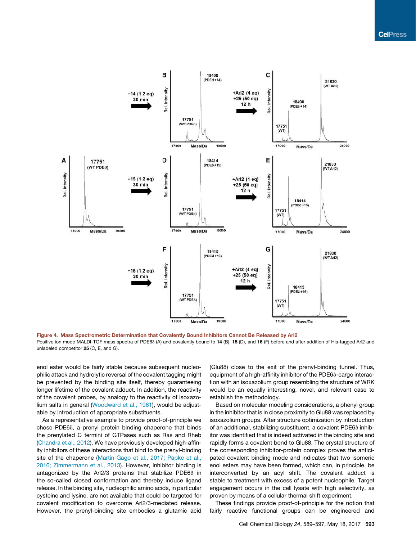

Figure 4. Mass Spectrometric Determination that Covalently Bound Inhibitors Cannot Be Released by Arl2 Positive ion mode MALDI-TOF mass spectra of PDE6<sub>0</sub> (A) and covalently bound to 14 (B), 15 (D), and 16 (F) before and after addition of His-tagged Arl2 and unlabeled competitor 25 (C, E, and G).

enol ester would be fairly stable because subsequent nucleophilic attack and hydrolytic reversal of the covalent tagging might be prevented by the binding site itself, thereby guaranteeing longer lifetime of the covalent adduct. In addition, the reactivity of the covalent probes, by analogy to the reactivity of isoxazolium salts in general (Woodward et al., 1961), would be adjustable by introduction of appropriate substituents.

As a representative example to provide proof-of-principle we chose PDE6 $\delta$ , a prenyl protein binding chaperone that binds the prenylated C termini of GTPases such as Ras and Rheb (Chandra et al., 2012). We have previously developed high-affinity inhibitors of these interactions that bind to the prenyl-binding site of the chaperone (Martín-Gago et al., 2017; Papke et al., 2016; Zimmermann et al., 2013). However, inhibitor binding is antagonized by the Arl2/3 proteins that stabilize PDE6 $\delta$  in the so-called closed conformation and thereby induce ligand release. In the binding site, nucleophilic amino acids, in particular cysteine and lysine, are not available that could be targeted for covalent modification to overcome Arl2/3-mediated release. However, the prenyl-binding site embodies a glutamic acid (Glu88) close to the exit of the prenyl-binding tunnel. Thus, equipment of a high-affinity inhibitor of the PDE6 $\delta$ -cargo interaction with an isoxazolium group resembling the structure of WRK would be an equally interesting, novel, and relevant case to establish the methodology.

Based on molecular modeling considerations, a phenyl group in the inhibitor that is in close proximity to Glu88 was replaced by isoxazolium groups. After structure optimization by introduction of an additional, stabilizing substituent, a covalent PDE6 $\delta$  inhibitor was identified that is indeed activated in the binding site and rapidly forms a covalent bond to Glu88. The crystal structure of the corresponding inhibitor-protein complex proves the anticipated covalent binding mode and indicates that two isomeric enol esters may have been formed, which can, in principle, be interconverted by an acyl shift. The covalent adduct is stable to treatment with excess of a potent nucleophile. Target engagement occurs in the cell lysate with high selectivity, as proven by means of a cellular thermal shift experiment.

These findings provide proof-of-principle for the notion that fairly reactive functional groups can be engineered and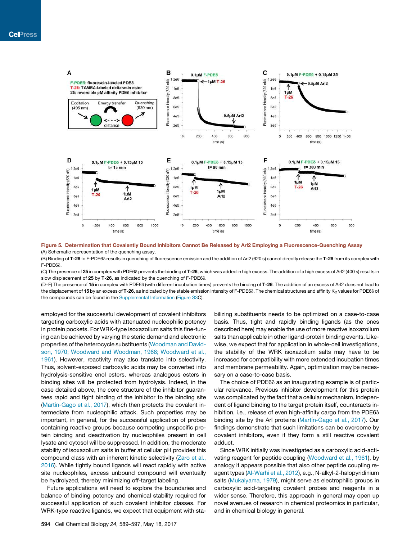

Figure 5. Determination that Covalently Bound Inhibitors Cannot Be Released by Arl2 Employing a Fluorescence-Quenching Assay (A) Schematic representation of the quenching assay.

(B) Binding of T-26 to F-PDE6<sup>®</sup> results in quenching of fluorescence emission and the addition of Arl2 (620 s) cannot directly release the T-26 from its complex with F-PDE6d.

(C) The presence of 25 in complex with PDE6 $\delta$  prevents the binding of T-26, which was added in high excess. The addition of a high excess of Arl2 (400 s) results in slow displacement of  $25$  by T-26, as indicated by the quenching of F-PDE6 $\delta$ .

(D–F) The presence of 15 in complex with PDE6<sub>0</sub> (with different incubation times) prevents the binding of T-26. The addition of an excess of Arl2 does not lead to the displacement of 15 by an excess of T-26, as indicated by the stable emission intensity of F-PDE6 $\delta$ . The chemical structures and affinity K<sub>D</sub> values for PDE6 $\delta$  of the compounds can be found in the Supplemental Information (Figure S3C).

employed for the successful development of covalent inhibitors targeting carboxylic acids with attenuated nucleophilic potency in protein pockets. For WRK-type isoxazolium salts this fine-tuning can be achieved by varying the steric demand and electronic properties of the heterocycle substituents (Woodman and Davidson, 1970; Woodward and Woodman, 1968; Woodward et al., 1961). However, reactivity may also translate into selectivity. Thus, solvent-exposed carboxylic acids may be converted into hydrolysis-sensitive enol esters, whereas analogous esters in binding sites will be protected from hydrolysis. Indeed, in the case detailed above, the core structure of the inhibitor guarantees rapid and tight binding of the inhibitor to the binding site (Martín-Gago et al., 2017), which then protects the covalent intermediate from nucleophilic attack. Such properties may be important, in general, for the successful application of probes containing reactive groups because competing unspecific protein binding and deactivation by nucleophiles present in cell lysate and cytosol will be suppressed. In addition, the moderate stability of isoxazolium salts in buffer at cellular pH provides this compound class with an inherent kinetic selectivity (Zaro et al., 2016). While tightly bound ligands will react rapidly with active site nucleophiles, excess unbound compound will eventually be hydrolyzed, thereby minimizing off-target labeling.

Future applications will need to explore the boundaries and balance of binding potency and chemical stability required for successful application of such covalent inhibitor classes. For WRK-type reactive ligands, we expect that equipment with stabilizing substituents needs to be optimized on a case-to-case basis. Thus, tight and rapidly binding ligands (as the ones described here) may enable the use of more reactive isoxazolium salts than applicable in other ligand-protein binding events. Likewise, we expect that for application in whole-cell investigations, the stability of the WRK isoxazolium salts may have to be increased for compatibility with more extended incubation times and membrane permeability. Again, optimization may be necessary on a case-to-case basis.

The choice of PDE6 $\delta$  as an inaugurating example is of particular relevance. Previous inhibitor development for this protein was complicated by the fact that a cellular mechanism, independent of ligand binding to the target protein itself, counteracts inhibition, i.e., release of even high-affinity cargo from the PDE6 $\delta$ binding site by the Arl proteins (Martín-Gago et al., 2017). Our findings demonstrate that such limitations can be overcome by covalent inhibitors, even if they form a still reactive covalent adduct.

Since WRK initially was investigated as a carboxylic acid-activating reagent for peptide coupling (Woodward et al., 1961), by analogy it appears possible that also other peptide coupling reagent types (Al-Warhi et al., 2012), e.g., N-alkyl-2-halopyridinium salts (Mukaiyama, 1979), might serve as electrophilic groups in carboxylic acid-targeting covalent probes and reagents in a wider sense. Therefore, this approach in general may open up novel avenues of research in chemical proteomics in particular, and in chemical biology in general.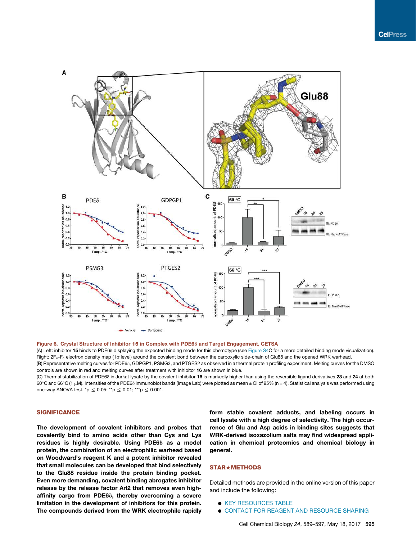

#### Figure 6. Crystal Structure of Inhibitor 15 in Complex with PDE6 $\delta$  and Target Engagement, CETSA

(A) Left: inhibitor 15 binds to PDE6<sub>0</sub> displaying the expected binding mode for this chemotype (see Figure S4C for a more detailed binding mode visualization). Right: 2F<sub>o</sub>-F<sub>c</sub> electron density map (1c level) around the covalent bond between the carboxylic side-chain of Glu88 and the opened WRK warhead. (B) Representative melting curves for PDE6<sub>0</sub>, GDPGP1, PSMG3, and PTGES2 as observed in a thermal protein profiling experiment. Melting curves for the DMSO controls are shown in red and melting curves after treatment with inhibitor 16 are shown in blue.

(C) Thermal stabilization of PDE6<sub>0</sub> in Jurkat lysate by the covalent inhibitor 16 is markedly higher than using the reversible ligand derivatives 23 and 24 at both 60°C and 66°C (1 µM). Intensities of the PDE6 $\delta$  immunoblot bands (Image Lab) were plotted as mean ± CI of 95% (n = 4). Statistical analysis was performed using one-way ANOVA test. \*p  $\leq 0.05$ ; \*\*p  $\leq 0.01$ ; \*\*\*p  $\leq 0.001$ .

## **SIGNIFICANCE**

The development of covalent inhibitors and probes that covalently bind to amino acids other than Cys and Lys residues is highly desirable. Using PDE6 $\delta$  as a model protein, the combination of an electrophilic warhead based on Woodward's reagent K and a potent inhibitor revealed that small molecules can be developed that bind selectively to the Glu88 residue inside the protein binding pocket. Even more demanding, covalent binding abrogates inhibitor release by the release factor Arl2 that removes even highaffinity cargo from PDE68, thereby overcoming a severe limitation in the development of inhibitors for this protein. The compounds derived from the WRK electrophile rapidly form stable covalent adducts, and labeling occurs in cell lysate with a high degree of selectivity. The high occurrence of Glu and Asp acids in binding sites suggests that WRK-derived isoxazolium salts may find widespread application in chemical proteomics and chemical biology in general.

## STAR+METHODS

Detailed methods are provided in the online version of this paper and include the following:

- **O KEY RESOURCES TABLE**
- **. CONTACT FOR REAGENT AND RESOURCE SHARING**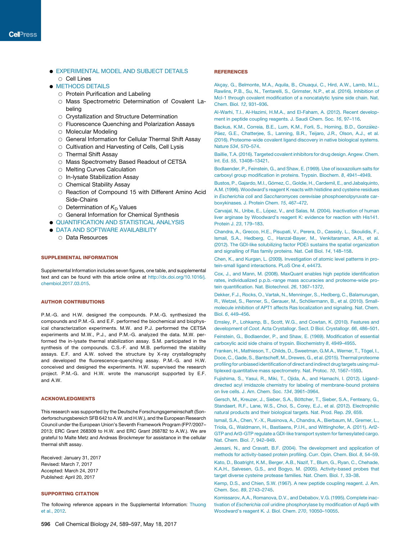## **.** EXPERIMENTAL MODEL AND SUBJECT DETAILS  $\cap$  Cell Lines

- **METHODS DETAILS** 
	- $\circ$  Protein Purification and Labeling
	- $\circ$  Mass Spectrometric Determination of Covalent Labeling
	- $\circ$  Crystallization and Structure Determination
	- $\circ$  Fluorescence Quenching and Polarization Assays
	- $\circ$  Molecular Modeling
	- $\circ$  General Information for Cellular Thermal Shift Assay
	- $\circ$  Cultivation and Harvesting of Cells, Cell Lysis
	- $\circ$  Thermal Shift Assay
	- O Mass Spectrometry Based Readout of CETSA
	- O Melting Curves Calculation
	- $\circ$  In-lysate Stabilization Assay
	- $\circ$  Chemical Stability Assay
	- $\circ$  Reaction of Compound 15 with Different Amino Acid Side-Chains
	- $\circ$  Determination of  $K_D$  Values
	- O General Information for Chemical Synthesis
- **.** QUANTIFICATION AND STATISTICAL ANALYSIS
- **. DATA AND SOFTWARE AVAILABILITY** 
	- $\circ$  Data Resources

## SUPPLEMENTAL INFORMATION

Supplemental Information includes seven figures, one table, and supplemental text and can be found with this article online at http://dx.doi.org/10.1016/j. chembiol.2017.03.015.

### AUTHOR CONTRIBUTIONS

P.M.-G. and H.W. designed the compounds. P.M.-G. synthesized the compounds and P.M.-G. and E.F. performed the biochemical and biophysical characterization experiments. M.W. and P.J. performed the CETSA experiments and M.W., P.J., and P.M.-G. analyzed the data. M.W. performed the in-lysate thermal stabilization assay. S.M. participated in the synthesis of the compounds. C.S.-F. and M.B. performed the stability assays. E.F. and A.W. solved the structure by X-ray crystallography and developed the fluorescence-quenching assay. P.M.-G. and H.W. conceived and designed the experiments. H.W. supervised the research project. P.M.-G. and H.W. wrote the manuscript supported by E.F. and A.W.

## ACKNOWLEDGMENTS

This research was supported by the Deutsche Forschungsgemeinschaft (Sonderforschungsbereich SFB 642 to A.W. and H.W.), and the European Research Council under the European Union's Seventh Framework Program (FP7/2007– 2013; ERC Grant 268309 to H.W. and ERC Grant 268782 to A.W.). We are grateful to Malte Metz and Andreas Brockmeyer for assistance in the cellular thermal shift assay.

Received: January 31, 2017 Revised: March 7, 2017 Accepted: March 24, 2017 Published: April 20, 2017

## SUPPORTING CITATION

The following reference appears in the Supplemental Information: Thuong et al., 2012.

#### REFERENCES

Akcay, G., Belmonte, M.A., Aquila, B., Chuaqui, C., Hird, A.W., Lamb, M.L., Rawlins, P.B., Su, N., Tentarelli, S., Grimster, N.P., et al. (2016). Inhibition of Mcl-1 through covalent modification of a noncatalytic lysine side chain. Nat. Chem. Biol. *12*, 931–936.

Al-Warhi, T.I., Al-Hazimi, H.M.A., and El-Faham, A. (2012). Recent development in peptide coupling reagents. J. Saudi Chem. Soc. *16*, 97–116.

Backus, K.M., Correia, B.E., Lum, K.M., Forli, S., Horning, B.D., González-Páez, G.E., Chatterjee, S., Lanning, B.R., Teijaro, J.R., Olson, A.J., et al. (2016). Proteome-wide covalent ligand discovery in native biological systems. Nature *534*, 570–574.

Baillie, T.A. (2016). Targeted covalent inhibitors for drug design. Angew. Chem. Int. Ed. *55*, 13408–13421.

Bodlaender, P., Feinstein, G., and Shaw, E. (1969). Use of isoxazolium salts for carboxyl group modification in proteins. Trypsin. Biochem. *8*, 4941–4949.

Bustos, P., Gajardo, M.I., Gómez, C., Goldie, H., Cardemil, E., and Jabalquinto, A.M. (1996). Woodward's reagent K reacts with histidine and cysteine residues in *Escherichia coli* and *Saccharomyces cerevisiae* phosphoenolpyruvate carboxykinases. J. Protein Chem. *15*, 467–472.

Carvajal, N., Uribe, E., López, V., and Salas, M. (2004). Inactivation of human liver arginase by Woodward's reagent K: evidence for reaction with His141. Protein J. *23*, 179–183.

Chandra, A., Grecco, H.E., Pisupati, V., Perera, D., Cassidy, L., Skoulidis, F., Ismail, S.A., Hedberg, C., Hanzal-Bayer, M., Venkitaraman, A.R., et al. (2012). The GDI-like solubilizing factor PDE<sub>o</sub> sustains the spatial organization and signalling of Ras family proteins. Nat. Cell Biol. *14*, 148–158.

Chen, K., and Kurgan, L. (2009). Investigation of atomic level patterns in protein-small ligand interactions. PLoS One *4*, e4473.

Cox, J., and Mann, M. (2008). MaxQuant enables high peptide identification rates, individualized p.p.b.-range mass accuracies and proteome-wide protein quantification. Nat. Biotechnol. *26*, 1367–1372.

Dekker, F.J., Rocks, O., Vartak, N., Menninger, S., Hedberg, C., Balamurugan, R., Wetzel, S., Renner, S., Gerauer, M., Schölermann, B., et al. (2010). Smallmolecule inhibition of APT1 affects Ras localization and signaling. Nat. Chem. Biol. *6*, 449–456.

Emsley, P., Lohkamp, B., Scott, W.G., and Cowtan, K. (2010). Features and development of *Coot*. Acta Crystallogr. Sect. D Biol. Crystallogr. *66*, 486–501. Feinstein, G., Bodlaender, P., and Shaw, E. (1969). Modification of essential carboxylic acid side chains of trypsin. Biochemistry *8*, 4949–4955.

Franken, H., Mathieson, T., Childs, D., Sweetman, G.M.A., Werner, T., Tögel, I., Doce, C., Gade, S., Bantscheff, M., Drewes, G., et al. (2015). Thermal proteome profiling for unbiased identification of direct and indirect drug targets using multiplexed quantitative mass spectrometry. Nat. Protoc. *10*, 1567–1593.

Fujishima, S., Yasui, R., Miki, T., Ojida, A., and Hamachi, I. (2012). Liganddirected acyl imidazole chemistry for labeling of membrane-bound proteins on live cells. J. Am. Chem. Soc. *134*, 3961–3964.

Gersch, M., Kreuzer, J., Sieber, S.A., Böttcher, T., Sieber, S.A., Fenteany, G., Standaert, R.F., Lane, W.S., Choi, S., Corey, E.J., et al. (2012). Electrophilic natural products and their biological targets. Nat. Prod. Rep. *29*, 659.

Ismail, S.A., Chen, Y.-X., Rusinova, A., Chandra, A., Bierbaum, M., Gremer, L., Triola, G., Waldmann, H., Bastiaens, P.I.H., and Wittinghofer, A. (2011). Arl2- GTP and Arl3-GTP regulate a GDI-like transport system for farnesylated cargo. Nat. Chem. Biol. *7*, 942–949.

Jessani, N., and Cravatt, B.F. (2004). The development and application of methods for activity-based protein profiling. Curr. Opin. Chem. Biol. *8*, 54–59.

Kato, D., Boatright, K.M., Berger, A.B., Nazif, T., Blum, G., Ryan, C., Chehade, K.A.H., Salvesen, G.S., and Bogyo, M. (2005). Activity-based probes that target diverse cysteine protease families. Nat. Chem. Biol. *1*, 33–38.

Kemp, D.S., and Chien, S.W. (1967). A new peptide coupling reagent. J. Am. Chem. Soc. *89*, 2743–2745.

Komissarov, A.A., Romanova, D.V., and Debabov, V.G. (1995). Complete inactivation of *Escherichia coli* uridine phosphorylase by modification of Asp5 with Woodward's reagent K. J. Biol. Chem. *270*, 10050–10055.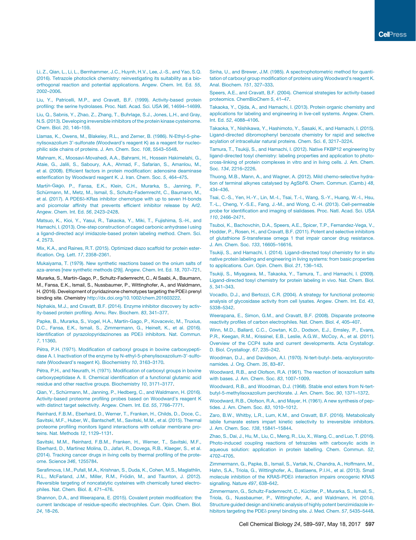Li, Z., Qian, L., Li, L., Bernhammer, J.C., Huynh, H.V., Lee, J.-S., and Yao, S.Q. (2016). Tetrazole photoclick chemistry: reinvestigating its suitability as a bioorthogonal reaction and potential applications. Angew. Chem. Int. Ed. *55*, 2002–2006.

Liu, Y., Patricelli, M.P., and Cravatt, B.F. (1999). Activity-based protein profiling: the serine hydrolases. Proc. Natl. Acad. Sci. USA *96*, 14694–14699.

Liu, Q., Sabnis, Y., Zhao, Z., Zhang, T., Buhrlage, S.J., Jones, L.H., and Gray, N.S. (2013). Developing irreversible inhibitors of the protein kinase cysteinome. Chem. Biol. *20*, 146–159.

Llamas, K., Owens, M., Blakeley, R.L., and Zerner, B. (1986). N-Ethyl-5-phenylisoxazolium 3'-sulfonate (Woodward's reagent K) as a reagent for nucleophilic side chains of proteins. J. Am. Chem. Soc. *108*, 5543–5548.

Mahnam, K., Moosavi-Movahedi, A.A., Bahrami, H., Hossein Hakimelahi, G., Ataie, G., Jalili, S., Saboury, A.A., Ahmad, F., Safarian, S., Amanlou, M., et al. (2008). Efficient factors in protein modification: adenosine deaminase esterification by Woodward reagent K. J. Iran. Chem. Soc. *5*, 464–475.

Martín-Gago, P., Fansa, E.K., Klein, C.H., Murarka, S., Janning, P., Schürmann, M., Metz, M., Ismail, S., Schultz-Fademrecht, C., Baumann, M., et al. (2017). A PDE6 $\delta$ -KRas inhibitor chemotype with up to seven H-bonds and picomolar affinity that prevents efficient inhibitor release by Arl2. Angew. Chem. Int. Ed. *56*, 2423–2428.

Matsuo, K., Kioi, Y., Yasui, R., Takaoka, Y., Miki, T., Fujishima, S.-H., and Hamachi, I. (2013). One-step construction of caged carbonic anhydrase I using a ligand-directed acyl imidazole-based protein labeling method. Chem. Sci. *4*, 2573.

Mix, K.A., and Raines, R.T. (2015). Optimized diazo scaffold for protein esterification. Org. Lett. *17*, 2358–2361.

Mukaiyama, T. (1979). New synthetic reactions based on the onium salts of aza-arenes [new synthetic methods (29)]. Angew. Chem. Int. Ed. *18*, 707–721.

Murarka, S., Martín-Gago, P., Schultz-Fademrecht, C., Al Saabi, A., Baumann, M., Fansa, E.K., Ismail, S., Nussbaumer, P., Wittinghofer, A., and Waldmann, H. (2016). Development of pyridazinone chemotypes targeting the PDE<sub>δ</sub> prenyl binding site. Chemistry http://dx.doi.org/10.1002/chem.201603222.

Niphakis, M.J., and Cravatt, B.F. (2014). Enzyme inhibitor discovery by activity-based protein profiling. Annu. Rev. Biochem. *83*, 341–377.

Papke, B., Murarka, S., Vogel, H.A., Martín-Gago, P., Kovacevic, M., Truxius, D.C., Fansa, E.K., Ismail, S., Zimmermann, G., Heinelt, K., et al. (2016). Identification of pyrazolopyridazinones as PDE<sub>0</sub> inhibitors. Nat. Commun. *7*, 11360.

Pétra, P.H. (1971). Modification of carboxyl groups in bovine carboxypeptidase A. I. Inactivation of the enzyme by N-ethyl-5-phenylisoxazolium-3'-sulfonate (Woodward's reagent K). Biochemistry *10*, 3163–3170.

Pétra, P.H., and Neurath, H. (1971). Modification of carboxyl groups in bovine carboxypeptidase A. II. Chemical identification of a functional glutamic acid residue and other reactive groups. Biochemistry *10*, 3171–3177.

Qian, Y., Schürmann, M., Janning, P., Hedberg, C., and Waldmann, H. (2016). Activity-based proteome profiling probes based on Woodward's reagent K with distinct target selectivity. Angew. Chem. Int. Ed. *55*, 7766–7771.

Reinhard, F.B.M., Eberhard, D., Werner, T., Franken, H., Childs, D., Doce, C., Savitski, M.F., Huber, W., Bantscheff, M., Savitski, M.M., et al. (2015). Thermal proteome profiling monitors ligand interactions with cellular membrane proteins. Nat. Methods *12*, 1129–1131.

Savitski, M.M., Reinhard, F.B.M., Franken, H., Werner, T., Savitski, M.F., Eberhard, D., Martinez Molina, D., Jafari, R., Dovega, R.B., Klaeger, S., et al. (2014). Tracking cancer drugs in living cells by thermal profiling of the proteome. Science *346*, 1255784.

Serafimova, I.M., Pufall, M.A., Krishnan, S., Duda, K., Cohen, M.S., Maglathlin, R.L., McFarland, J.M., Miller, R.M., Frödin, M., and Taunton, J. (2012). Reversible targeting of noncatalytic cysteines with chemically tuned electrophiles. Nat. Chem. Biol. *8*, 471–476.

Shannon, D.A., and Weerapana, E. (2015). Covalent protein modification: the current landscape of residue-specific electrophiles. Curr. Opin. Chem. Biol. *24*, 18–26.

Sinha, U., and Brewer, J.M. (1985). A spectrophotometric method for quantitation of carboxyl group modification of proteins using Woodward's reagent K. Anal. Biochem. *151*, 327–333.

Speers, A.E., and Cravatt, B.F. (2004). Chemical strategies for activity-based proteomics. ChemBioChem *5*, 41–47.

Takaoka, Y., Ojida, A., and Hamachi, I. (2013). Protein organic chemistry and applications for labeling and engineering in live-cell systems. Angew. Chem. Int. Ed. *52*, 4088–4106.

Takaoka, Y., Nishikawa, Y., Hashimoto, Y., Sasaki, K., and Hamachi, I. (2015). Ligand-directed dibromophenyl benzoate chemistry for rapid and selective acylation of intracellular natural proteins. Chem. Sci. *6*, 3217–3224.

Tamura, T., Tsukiji, S., and Hamachi, I. (2012). Native FKBP12 engineering by ligand-directed tosyl chemistry: labeling properties and application to photocross-linking of protein complexes in vitro and in living cells. J. Am. Chem. Soc. *134*, 2216–2226.

Thuong, M.B., Mann, A., and Wagner, A. (2012). Mild chemo-selective hydration of terminal alkynes catalysed by AgSbF6. Chem. Commun. (Camb.) *48*, 434–436.

Tsai, C.-S., Yen, H.-Y., Lin, M.-I., Tsai, T.-I., Wang, S.-Y., Huang, W.-I., Hsu, T.-L., Cheng, Y.-S.E., Fang, J.-M., and Wong, C.-H. (2013). Cell-permeable probe for identification and imaging of sialidases. Proc. Natl. Acad. Sci. USA *110*, 2466–2471.

Tsuboi, K., Bachovchin, D.A., Speers, A.E., Spicer, T.P., Fernandez-Vega, V., Hodder, P., Rosen, H., and Cravatt, B.F. (2011). Potent and selective inhibitors of glutathione *S*-transferase omega 1 that impair cancer drug resistance. J. Am. Chem. Soc. *133*, 16605–16616.

Tsukiji, S., and Hamachi, I. (2014). Ligand-directed tosyl chemistry for in situ native protein labeling and engineering in living systems: from basic properties to applications. Curr. Opin. Chem. Biol. *21*, 136–143.

Tsukiji, S., Miyagawa, M., Takaoka, Y., Tamura, T., and Hamachi, I. (2009). Ligand-directed tosyl chemistry for protein labeling in vivo. Nat. Chem. Biol. *5*, 341–343.

Vocadlo, D.J., and Bertozzi, C.R. (2004). A strategy for functional proteomic analysis of glycosidase activity from cell lysates. Angew. Chem. Int. Ed. *43*, 5338–5342.

Weerapana, E., Simon, G.M., and Cravatt, B.F. (2008). Disparate proteome reactivity profiles of carbon electrophiles. Nat. Chem. Biol. *4*, 405–407.

Winn, M.D., Ballard, C.C., Cowtan, K.D., Dodson, E.J., Emsley, P., Evans, P.R., Keegan, R.M., Krissinel, E.B., Leslie, A.G.W., McCoy, A., et al. (2011). Overview of the CCP4 suite and current developments. Acta Crystallogr. D. Biol. Crystallogr. *67*, 235–242.

Woodman, D.J., and Davidson, A.I. (1970). N-tert-butyl-.beta.-acyloxycrotonamides. J. Org. Chem. *35*, 83–87.

Woodward, R.B., and Olofson, R.A. (1961). The reaction of isoxazolium salts with bases. J. Am. Chem. Soc. *83*, 1007–1009.

Woodward, R.B., and Woodman, D.J. (1968). Stable enol esters from N-tertbutyl-5-methylisoxazolium perchlorate. J. Am. Chem. Soc. *90*, 1371–1372.

Woodward, R.B., Olofson, R.A., and Mayer, H. (1961). A new synthesis of peptides. J. Am. Chem. Soc. *83*, 1010–1012.

Zaro, B.W., Whitby, L.R., Lum, K.M., and Cravatt, B.F. (2016). Metabolically labile fumarate esters impart kinetic selectivity to irreversible inhibitors. J. Am. Chem. Soc. *138*, 15841–15844.

Zhao, S., Dai, J., Hu, M., Liu, C., Meng, R., Liu, X., Wang, C., and Luo, T. (2016). Photo-induced coupling reactions of tetrazoles with carboxylic acids in aqueous solution: application in protein labelling. Chem. Commun. *52*, 4702–4705.

Zimmermann, G., Papke, B., Ismail, S., Vartak, N., Chandra, A., Hoffmann, M., Hahn, S.A., Triola, G., Wittinghofer, A., Bastiaens, P.I.H., et al. (2013). Small molecule inhibition of the KRAS-PDE<sub>0</sub> interaction impairs oncogenic KRAS signalling. Nature *497*, 638–642.

Zimmermann, G., Schultz-Fademrecht, C., Küchler, P., Murarka, S., Ismail, S., Triola, G., Nussbaumer, P., Wittinghofer, A., and Waldmann, H. (2014). Structure guided design and kinetic analysis of highly potent benzimidazole inhibitors targeting the PDE<sub>0</sub> prenyl binding site. J. Med. Chem. 57, 5435-5448.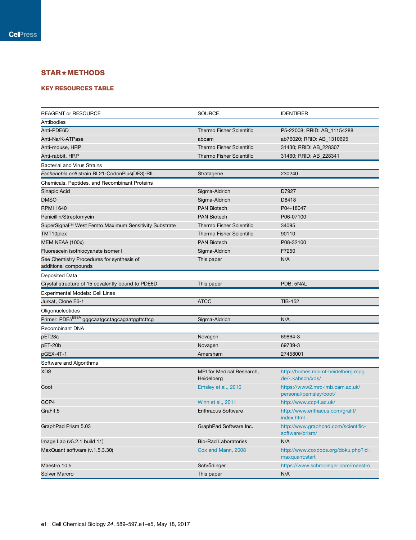## STAR+METHODS

## KEY RESOURCES TABLE

| <b>REAGENT or RESOURCE</b>                               | <b>SOURCE</b>                           | <b>IDENTIFIER</b>                                           |
|----------------------------------------------------------|-----------------------------------------|-------------------------------------------------------------|
| Antibodies                                               |                                         |                                                             |
| Anti-PDE6D                                               | <b>Thermo Fisher Scientific</b>         | P5-22008; RRID: AB_11154288                                 |
| Anti-Na/K-ATPase                                         | abcam                                   | ab76020; RRID: AB_1310695                                   |
| Anti-mouse, HRP                                          | <b>Thermo Fisher Scientific</b>         | 31430; RRID: AB_228307                                      |
| Anti-rabbit, HRP                                         | <b>Thermo Fisher Scientific</b>         | 31460; RRID: AB 228341                                      |
| <b>Bacterial and Virus Strains</b>                       |                                         |                                                             |
| Escherichia coli strain BL21-CodonPlus(DE3)-RIL          | Stratagene                              | 230240                                                      |
| Chemicals, Peptides, and Recombinant Proteins            |                                         |                                                             |
| Sinapic Acid                                             | Sigma-Aldrich                           | D7927                                                       |
| <b>DMSO</b>                                              | Sigma-Aldrich                           | D8418                                                       |
| <b>RPMI 1640</b>                                         | <b>PAN Biotech</b>                      | P04-18047                                                   |
| Penicillin/Streptomycin                                  | <b>PAN Biotech</b>                      | P06-07100                                                   |
| SuperSignal™ West Femto Maximum Sensitivity Substrate    | <b>Thermo Fisher Scientific</b>         | 34095                                                       |
| TMT10plex                                                | <b>Thermo Fisher Scientific</b>         | 90110                                                       |
| MEM NEAA (100x)                                          | <b>PAN Biotech</b>                      | P08-32100                                                   |
| Fluorescein isothiocyanate isomer I                      | Sigma-Aldrich                           | F7250                                                       |
| See Chemistry Procedures for synthesis of                | This paper                              | N/A                                                         |
| additional compounds                                     |                                         |                                                             |
| Deposited Data                                           |                                         |                                                             |
| Crystal structure of 15 covalently bound to PDE6D        | This paper                              | PDB: 5NAL                                                   |
| Experimental Models: Cell Lines                          |                                         |                                                             |
| Jurkat, Clone E6-1                                       | <b>ATCC</b>                             | <b>TIB-152</b>                                              |
| Oligonucleotides                                         |                                         |                                                             |
| Primer: PDE <sup>888A</sup> gggcaatgcctagcagaatggttcttcg | Sigma-Aldrich                           | N/A                                                         |
| <b>Recombinant DNA</b>                                   |                                         |                                                             |
| pET28a                                                   | Novagen                                 | 69864-3                                                     |
| pET-20b                                                  | Novagen                                 | 69739-3                                                     |
| pGEX-4T-1                                                | Amersham                                | 27458001                                                    |
| Software and Algorithms                                  |                                         |                                                             |
| <b>XDS</b>                                               | MPI for Medical Research,<br>Heidelberg | http://homes.mpimf-heidelberg.mpg.<br>$de/\sim$ kabsch/xds/ |
| Coot                                                     | Emsley et al., 2010                     | https://www2.mrc-lmb.cam.ac.uk/<br>personal/pemsley/coot/   |
| CCP4                                                     | Winn et al., 2011                       | http://www.ccp4.ac.uk/                                      |
| GraFit.5                                                 | <b>Erithracus Software</b>              | http://www.erithacus.com/grafit/<br>index.html              |
| GraphPad Prism 5.03                                      | GraphPad Software Inc.                  | http://www.graphpad.com/scientific-<br>software/prism/      |
| Image Lab (v5.2.1 build 11)                              | <b>Bio-Rad Laboratories</b>             | N/A                                                         |
| MaxQuant software (v.1.5.3.30)                           | Cox and Mann, 2008                      | http://www.coxdocs.org/doku.php?id=<br>maxquant:start       |
| Maestro 10.5                                             | Schrödinger                             | https://www.schrodinger.com/maestro                         |
| Solver Marcro                                            | This paper                              | N/A                                                         |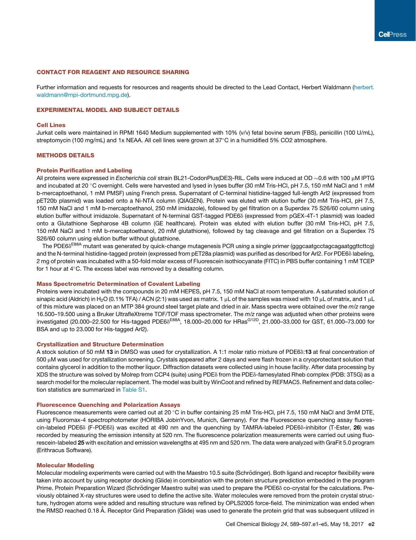## CONTACT FOR REAGENT AND RESOURCE SHARING

Further information and requests for resources and reagents should be directed to the Lead Contact, Herbert Waldmann (herbert. waldmann@mpi-dortmund.mpg.de).

## EXPERIMENTAL MODEL AND SUBJECT DETAILS

## Cell Lines

Jurkat cells were maintained in RPMI 1640 Medium supplemented with 10% (v/v) fetal bovine serum (FBS), penicillin (100 U/mL), streptomycin (100 mg/mL) and 1x NEAA. All cell lines were grown at  $37^{\circ}$ C in a humidified 5% CO2 atmosphere.

## METHODS DETAILS

## Protein Purification and Labeling

All proteins were expressed in *Escherichia coli* strain BL21-CodonPlus(DE3)-RIL. Cells were induced at OD ~0.6 with 100 µM IPTG and incubated at 20 °C overnight. Cells were harvested and lysed in lyses buffer (30 mM Tris-HCl, pH 7.5, 150 mM NaCl and 1 mM b-mercaptoethanol, 1 mM PMSF) using French press. Supernatant of C-terminal histidine-tagged full-length Arl2 (expressed from pET20b plasmid) was loaded onto a Ni-NTA column (QIAGEN). Protein was eluted with elution buffer (30 mM Tris-HCl, pH 7.5, 150 mM NaCl and 1 mM b-mercaptoethanol, 250 mM imidazole), followed by gel filtration on a Superdex 75 S26/60 column using elution buffer without imidazole. Supernatant of N-terminal GST-tagged PDE6<sub>0</sub> (expressed from pGEX-4T-1 plasmid) was loaded onto a Glutathione Sepharose 4B column (GE healthcare). Protein was eluted with elution buffer (30 mM Tris-HCl, pH 7.5, 150 mM NaCl and 1 mM b-mercaptoethanol, 20 mM glutathione), followed by tag cleavage and gel filtration on a Superdex 75 S26/60 column using elution buffer without glutathione.

The PDE6 $\delta^{E88A}$  mutant was generated by quick-change mutagenesis PCR using a single primer (gggcaatgcctagcagaatggttcttcg) and the N-terminal histidine-tagged protein (expressed from pET28a plasmid) was purified as described for Arl2. For PDE6 $\delta$  labeling, 2 mg of protein was incubated with a 50-fold molar excess of Fluorescein isothiocyanate (FITC) in PBS buffer containing 1 mM TCEP for 1 hour at  $4^\circ$ C. The excess label was removed by a desalting column.

## Mass Spectrometric Determination of Covalent Labeling

Proteins were incubated with the compounds in 20 mM HEPES, pH 7.5, 150 mM NaCl at room temperature. A saturated solution of sinapic acid (Aldrich) in H<sub>2</sub>O (0.1% TFA) / ACN (2:1) was used as matrix. 1  $\mu$ L of the samples was mixed with 10  $\mu$ L of matrix, and 1  $\mu$ L of this mixture was placed on an MTP 384 ground steel target plate and dried in air. Mass spectra were obtained over the *m*/*z* range 16.500–19.500 using a Bruker UltrafleXtreme TOF/TOF mass spectrometer. The *m*/*z* range was adjusted when other proteins were investigated (20.000–22.500 for His-tagged PDE6 $\delta^{\rm E88A}$ , 18.000–20.000 for HRas<sup>G12D</sup>, 21.000–33.000 for GST, 61.000–73.000 for BSA and up to 23.000 for His-tagged Arl2).

#### Crystallization and Structure Determination

A stock solution of 50 mM 13 in DMSO was used for crystallization. A 1:1 molar ratio mixture of PDE6 $\delta$ :13 at final concentration of 500 µM was used for crystallization screening. Crystals appeared after 2 days and were flash frozen in a cryoprotectant solution that contains glycerol in addition to the mother liquor. Diffraction datasets were collected using in house facility. After data processing by XDS the structure was solved by Molrep from CCP4 (suite) using PDE<sub>0</sub> from the PDE<sub>0</sub>-farnesylated Rheb complex (PDB: 3T5G) as a search model for the molecular replacement. The model was built by WinCoot and refined by REFMAC5. Refinement and data collection statistics are summarized in Table S1.

## Fluorescence Quenching and Polarization Assays

Fluorescence measurements were carried out at 20 °C in buffer containing 25 mM Tris-HCl, pH 7.5, 150 mM NaCl and 3mM DTE, using Fluoromax-4 spectrophotometer (HORIBA JobinYvon, Munich, Germany). For the Fluorescence quenching assay fluores $cin$ -labeled PDE6 $\delta$  (F-PDE6 $\delta$ ) was excited at 490 nm and the quenching by TAMRA-labeled PDE6 $\delta$ -inhibitor (T-Ester, 26) was recorded by measuring the emission intensity at 520 nm. The fluorescence polarization measurements were carried out using fluorescein-labeled 25 with excitation and emission wavelengths at 495 nm and 520 nm. The data were analyzed with GraFit 5.0 program (Erithracus Software).

### Molecular Modeling

Molecular modeling experiments were carried out with the Maestro 10.5 suite (Schrödinger). Both ligand and receptor flexibility were taken into account by using receptor docking (Glide) in combination with the protein structure prediction embedded in the program Prime. Protein Preparation Wizard (Schrödinger Maestro suite) was used to prepare the PDE6<sub>0</sub> co-crystal for the calculations. Previously obtained X-ray structures were used to define the active site. Water molecules were removed from the protein crystal structure, hydrogen atoms were added and resulting structure was refined by OPLS2005 force-field. The minimization was ended when the RMSD reached 0.18 Å. Receptor Grid Preparation (Glide) was used to generate the protein grid that was subsequent utilized in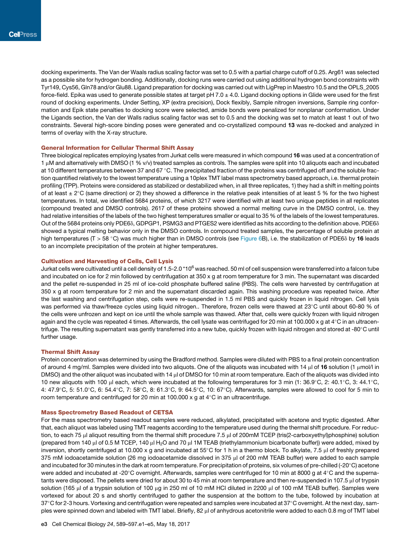docking experiments. The Van der Waals radius scaling factor was set to 0.5 with a partial charge cutoff of 0.25. Arg61 was selected as a possible site for hydrogen bonding. Additionally, docking runs were carried out using additional hydrogen bond constraints with Tyr149, Cys56, Gln78 and/or Glu88. Ligand preparation for docking was carried out with LigPrep in Maestro 10.5 and the OPLS\_2005 force-field. Epika was used to generate possible states at target pH 7.0  $\pm$  4.0. Ligand docking options in Glide were used for the first round of docking experiments. Under Setting, XP (extra precision), Dock flexibly, Sample nitrogen inversions, Sample ring conformation and Epik state penalties to docking score were selected, amide bonds were penalized for nonplanar conformation. Under the Ligands section, the Van der Walls radius scaling factor was set to 0.5 and the docking was set to match at least 1 out of two constraints. Several high-score binding poses were generated and co-crystallized compound 13 was re-docked and analyzed in terms of overlay with the X-ray structure.

## General Information for Cellular Thermal Shift Assay

Three biological replicates employing lysates from Jurkat cells were measured in which compound 16 was used at a concentration of 1 µM and alternatively with DMSO (1 % v/v) treated samples as controls. The samples were split into 10 aliquots each and incubated at 10 different temperatures between 37 and 67  $\degree$ C. The precipitated fraction of the proteins was centrifuged off and the soluble fraction quantified relatively to the lowest temperature using a 10plex TMT label mass spectrometry based approach, i.e. thermal protein profiling (TPP). Proteins were considered as stabilized or destabilized when, in all three replicates, 1) they had a shift in melting points of at least  $\pm 2^{\circ}$ C (same direction) or 2) they showed a difference in the relative peak intensities of at least 5 % for the two highest temperatures. In total, we identified 5684 proteins, of which 3217 were identified with at least two unique peptides in all replicates (compound treated and DMSO controls). 2617 of these proteins showed a normal melting curve in the DMSO control, i.e. they had relative intensities of the labels of the two highest temperatures smaller or equal to 35 % of the labels of the lowest temperatures. Out of the 5684 proteins only PDE6 $\delta$ , GDPGP1, PSMG3 and PTGES2 were identified as hits according to the definition above. PDE6 $\delta$ showed a typical melting behavior only in the DMSO controls. In compound treated samples, the percentage of soluble protein at high temperatures (T > 58 °C) was much higher than in DMSO controls (see Figure 6B), i.e. the stabilization of PDE6 $\delta$  by 16 leads to an incomplete precipitation of the protein at higher temperatures.

## Cultivation and Harvesting of Cells, Cell Lysis

Jurkat cells were cultivated until a cell density of 1.5-2.0 \*10 $^6$  was reached. 50 ml of cell suspension were transferred into a falcon tube and incubated on ice for 2 min followed by centrifugation at 350 x g at room temperature for 3 min. The supernatant was discarded and the pellet re-suspended in 25 ml of ice-cold phosphate buffered saline (PBS). The cells were harvested by centrifugation at 350 x g at room temperature for 2 min and the supernatant discarded again. This washing procedure was repeated twice. After the last washing and centrifugation step, cells were re-suspended in 1.5 ml PBS and quickly frozen in liquid nitrogen. Cell lysis was performed via thaw/freeze cycles using liquid nitrogen.. Therefore, frozen cells were thawed at 23°C until about 60-80 % of the cells were unfrozen and kept on ice until the whole sample was thawed. After that, cells were quickly frozen with liquid nitrogen again and the cycle was repeated 4 times. Afterwards, the cell lysate was centrifuged for 20 min at 100.000 x g at  $4^{\circ}$ C in an ultracentrifuge. The resulting supernatant was gently transferred into a new tube, quickly frozen with liquid nitrogen and stored at -80°C until further usage.

## Thermal Shift Assay

Protein concentration was determined by using the Bradford method. Samples were diluted with PBS to a final protein concentration of around 4 mg/ml. Samples were divided into two aliquots. One of the aliquots was incubated with 14  $\mu$  of 16 solution (1  $\mu$ mol/l in DMSO) and the other aliquot was incubated with 14  $\mu$  of DMSO for 10 min at room temperature. Each of the aliquots was divided into 10 new aliquots with 100 µl each, which were incubated at the following temperatures for 3 min (1: 36.9°C, 2: 40.1°C, 3: 44.1°C, 4:  $47.9^{\circ}$ C, 5:  $51.0^{\circ}$ C, 6:  $54.4^{\circ}$ C, 7:  $58^{\circ}$ C, 8:  $61.3^{\circ}$ C, 9:  $64.5^{\circ}$ C, 10:  $67^{\circ}$ C). Afterwards, samples were allowed to cool for 5 min to room temperature and centrifuged for 20 min at 100.000 x g at  $4^{\circ}$ C in an ultracentrifuge.

## Mass Spectrometry Based Readout of CETSA

For the mass spectrometry based readout samples were reduced, alkylated, precipitated with acetone and tryptic digested. After that, each aliquot was labeled using TMT reagents according to the temperature used during the thermal shift procedure. For reduction, to each 75 µl aliquot resulting from the thermal shift procedure 7.5 µl of 200mM TCEP (tris(2-carboxyethyl)phosphine) solution (prepared from 140  $\mu$  of 0.5 M TCEP, 140  $\mu$  H<sub>2</sub>O and 70  $\mu$  1M TEAB (triethylammonium bicarbonate buffer)) were added, mixed by inversion, shortly centrifuged at 10.000 x g and incubated at 55°C for 1 h in a thermo block. To alkylate, 7.5  $\mu$  of freshly prepared 375 mM iodoacetamide solution (26 mg iodoacetamide dissolved in 375 µl of 200 mM TEAB buffer) were added to each sample and incubated for 30 minutes in the dark at room temperature. For precipitation of proteins, six volumes of pre-chilled (-20 $^{\circ}$ C) acetone were added and incubated at -20°C overnight. Afterwards, samples were centrifuged for 10 min at 8000 g at 4°C and the supernatants were disposed. The pellets were dried for about 30 to 45 min at room temperature and then re-suspended in 107.5 µl of trypsin solution (165 µl of a trypsin solution of 100 µg in 250 ml of 10 mM HCl diluted in 2200 µl of 100 mM TEAB buffer). Samples were vortexed for about 20 s and shortly centrifuged to gather the suspension at the bottom to the tube, followed by incubation at 37°C for 2-3 hours. Vortexing and centrifugation were repeated and samples were incubated at 37°C overnight. At the next day, samples were spinned down and labeled with TMT label. Briefly, 82 µl of anhydrous acetonitrile were added to each 0.8 mg of TMT label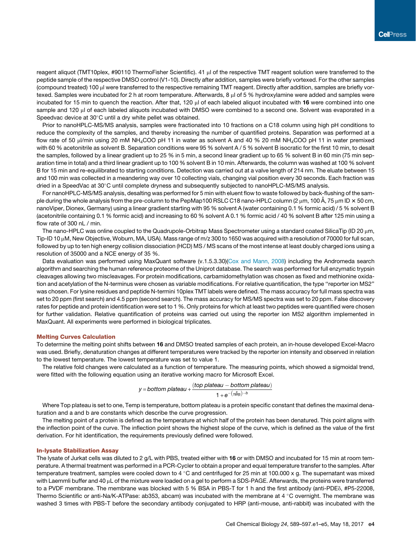reagent aliquot (TMT10plex, #90110 ThermoFisher Scientific). 41 µl of the respective TMT reagent solution were transferred to the peptide sample of the respective DMSO control (V1-10). Directly after addition, samples were briefly vortexed. For the other samples (compound treated) 100 µl were transferred to the respective remaining TMT reagent. Directly after addition, samples are briefly vortexed. Samples were incubated for 2 h at room temperature. Afterwards, 8 µl of 5 % hydroxylamine were added and samples were incubated for 15 min to quench the reaction. After that, 120  $\mu$  of each labeled aliquot incubated with 16 were combined into one sample and 120 µl of each labeled aliquots incubated with DMSO were combined to a second one. Solvent was evaporated in a Speedvac device at 30°C until a dry white pellet was obtained.

Prior to nanoHPLC-MS/MS analysis, samples were fractionated into 10 fractions on a C18 column using high pH conditions to reduce the complexity of the samples, and thereby increasing the number of quantified proteins. Separation was performed at a flow rate of 50  $\mu$ /min using 20 mM NH<sub>4</sub>COO pH 11 in water as solvent A and 40 % 20 mM NH<sub>4</sub>COO pH 11 in water premixed with 60 % acetonitrile as solvent B. Separation conditions were 95 % solvent A / 5 % solvent B isocratic for the first 10 min, to desalt the samples, followed by a linear gradient up to 25 % in 5 min, a second linear gradient up to 65 % solvent B in 60 min (75 min separation time in total) and a third linear gradient up to 100 % solvent B in 10 min. Afterwards, the column was washed at 100 % solvent B for 15 min and re-equilibrated to starting conditions. Detection was carried out at a valve length of 214 nm. The eluate between 15 and 100 min was collected in a meandering way over 10 collecting vials, changing vial position every 30 seconds. Each fraction was dried in a SpeedVac at 30°C until complete dryness and subsequently subjected to nanoHPLC-MS/MS analysis.

For nanoHPLC-MS/MS analysis, desalting was performed for 5 min with eluent flow to waste followed by back-flushing of the sample during the whole analysis from the pre-column to the PepMap100 RSLC C18 nano-HPLC column (2  $\mu$ m, 100 Å, 75  $\mu$ m ID  $\times$  50 cm, nanoViper, Dionex, Germany) using a linear gradient starting with 95 % solvent A (water containing 0.1 % formic acid) / 5 % solvent B (acetonitrile containing 0.1 % formic acid) and increasing to 60 % solvent A 0.1 % formic acid / 40 % solvent B after 125 min using a flow rate of 300 nL / min.

The nano-HPLC was online coupled to the Quadrupole-Orbitrap Mass Spectrometer using a standard coated SilicaTip (ID 20 µm, Tip-ID 10  $\mu$ M, New Objective, Woburn, MA, USA). Mass range of m/z 300 to 1650 was acquired with a resolution of 70000 for full scan, followed by up to ten high energy collision dissociation (HCD) MS / MS scans of the most intense at least doubly charged ions using a resolution of 35000 and a NCE energy of 35 %.

Data evaluation was performed using MaxQuant software (v.1.5.3.30)(Cox and Mann, 2008) including the Andromeda search algorithm and searching the human reference proteome of the Uniprot database. The search was performed for full enzymatic trypsin cleavages allowing two miscleavages. For protein modifications, carbamidomethylation was chosen as fixed and methionine oxidation and acetylation of the N-terminus were chosen as variable modifications. For relative quantification, the type ''reporter ion MS2'' was chosen. For lysine residues and peptide N-termini 10plex TMT labels were defined. The mass accuracy for full mass spectra was set to 20 ppm (first search) and 4.5 ppm (second search). The mass accuracy for MS/MS spectra was set to 20 ppm. False discovery rates for peptide and protein identification were set to 1 %. Only proteins for which at least two peptides were quantified were chosen for further validation. Relative quantification of proteins was carried out using the reporter ion MS2 algorithm implemented in MaxQuant. All experiments were performed in biological triplicates.

## Melting Curves Calculation

To determine the melting point shifts between 16 and DMSO treated samples of each protein, an in-house developed Excel-Macro was used. Briefly, denaturation changes at different temperatures were tracked by the reporter ion intensity and observed in relation to the lowest temperature. The lowest temperature was set to value 1.

The relative fold changes were calculated as a function of temperature. The measuring points, which showed a sigmoidal trend, were fitted with the following equation using an iterative working macro for Microsoft Excel.

y = bottom plateau + 
$$
\frac{(\text{top plateau} - \text{bottom plateau})}{1 + e^{-\left(\frac{a}{\text{Temp}}\right) - b}}
$$

Where Top plateau is set to one, Temp is temperature, bottom plateau is a protein specific constant that defines the maximal denaturation and a and b are constants which describe the curve progression.

The melting point of a protein is defined as the temperature at which half of the protein has been denatured. This point aligns with the inflection point of the curve. The inflection point shows the highest slope of the curve, which is defined as the value of the first derivation. For hit identification, the requirements previously defined were followed.

### In-lysate Stabilization Assay

The lysate of Jurkat cells was diluted to 2  $g/L$  with PBS, treated either with 16 or with DMSO and incubated for 15 min at room temperature. A thermal treatment was performed in a PCR-Cycler to obtain a proper and equal temperature transfer to the samples. After temperature treatment, samples were cooled down to 4 °C and centrifuged for 25 min at 100.000 x g. The supernatant was mixed with Laemmli buffer and 40 µL of the mixture were loaded on a gel to perform a SDS-PAGE. Afterwards, the proteins were transferred to a PVDF membrane. The membrane was blocked with 5 % BSA in PBS-T for 1 h and the first antibody (anti-PDE<sub>0</sub>, #P5-22008, Thermo Scientific or anti-Na/K-ATPase: ab353, abcam) was incubated with the membrane at 4  $\degree$ C overnight. The membrane was washed 3 times with PBS-T before the secondary antibody conjugated to HRP (anti-mouse, anti-rabbit) was incubated with the